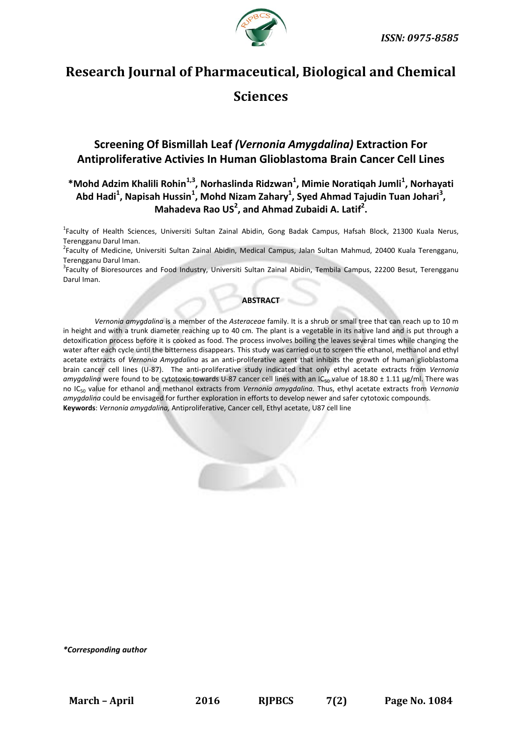

# **Research Journal of Pharmaceutical, Biological and Chemical**

# **Sciences**

## **Screening Of Bismillah Leaf** *(Vernonia Amygdalina)* **Extraction For Antiproliferative Activies In Human Glioblastoma Brain Cancer Cell Lines**

### **\*Mohd Adzim Khalili Rohin1,3, Norhaslinda Ridzwan<sup>1</sup> , Mimie Noratiqah Jumli<sup>1</sup> , Norhayati Abd Hadi<sup>1</sup> , Napisah Hussin<sup>1</sup> , Mohd Nizam Zahary<sup>1</sup> , Syed Ahmad Tajudin Tuan Johari<sup>3</sup> , Mahadeva Rao US<sup>2</sup> , and Ahmad Zubaidi A. Latif<sup>2</sup> .**

<sup>1</sup>Faculty of Health Sciences, Universiti Sultan Zainal Abidin, Gong Badak Campus, Hafsah Block, 21300 Kuala Nerus, Terengganu Darul Iman.

<sup>2</sup>Faculty of Medicine, Universiti Sultan Zainal Abidin, Medical Campus, Jalan Sultan Mahmud, 20400 Kuala Terengganu, Terengganu Darul Iman.

<sup>3</sup>Faculty of Bioresources and Food Industry, Universiti Sultan Zainal Abidin, Tembila Campus, 22200 Besut, Terengganu Darul Iman.

#### **ABSTRACT**

*Vernonia amygdalina* is a member of the *Asteraceae* family. It is a shrub or small tree that can reach up to 10 m in height and with a trunk diameter reaching up to 40 cm*.* The plant is a vegetable in its native land and is put through a detoxification process before it is cooked as food. The process involves boiling the leaves several times while changing the water after each cycle until the bitterness disappears. This study was carried out to screen the ethanol, methanol and ethyl acetate extracts of *Vernonia Amygdalina* as an anti-proliferative agent that inhibits the growth of human glioblastoma brain cancer cell lines (U-87). The anti-proliferative study indicated that only ethyl acetate extracts from *Vernonia*  amygdalina were found to be cytotoxic towards U-87 cancer cell lines with an IC<sub>50</sub> value of 18.80 ± 1.11 µg/ml. There was no IC<sup>50</sup> value for ethanol and methanol extracts from *Vernonia amygdalina.* Thus, ethyl acetate extracts from *Vernonia amygdalina* could be envisaged for further exploration in efforts to develop newer and safer cytotoxic compounds. **Keywords**: *Vernonia amygdalina,* Antiproliferative, Cancer cell, Ethyl acetate, U87 cell line

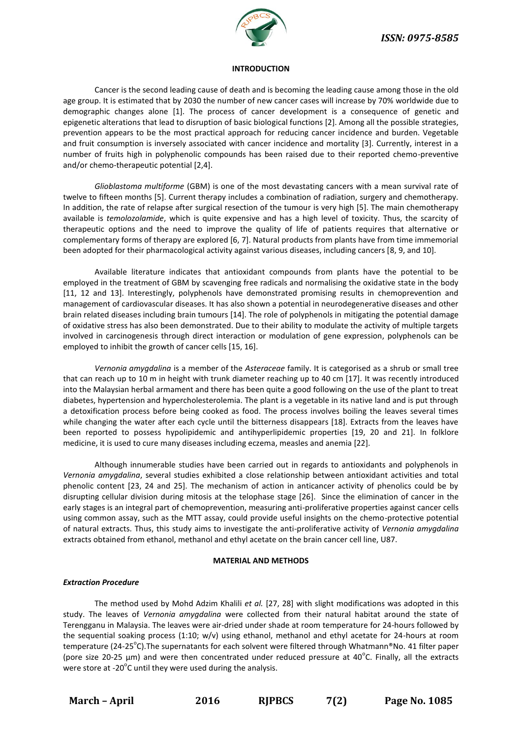

#### **INTRODUCTION**

Cancer is the second leading cause of death and is becoming the leading cause among those in the old age group. It is estimated that by 2030 the number of new cancer cases will increase by 70% worldwide due to demographic changes alone [1]. The process of cancer development is a consequence of genetic and epigenetic alterations that lead to disruption of basic biological functions [2]. Among all the possible strategies, prevention appears to be the most practical approach for reducing cancer incidence and burden. Vegetable and fruit consumption is inversely associated with cancer incidence and mortality [3]. Currently, interest in a number of fruits high in polyphenolic compounds has been raised due to their reported chemo-preventive and/or chemo-therapeutic potential [2,4].

*Glioblastoma multiforme* (GBM) is one of the most devastating cancers with a mean survival rate of twelve to fifteen months [5]. Current therapy includes a combination of radiation, surgery and chemotherapy. In addition, the rate of relapse after surgical resection of the tumour is very high [5]. The main chemotherapy available is *temolozolamide*, which is quite expensive and has a high level of toxicity. Thus, the scarcity of therapeutic options and the need to improve the quality of life of patients requires that alternative or complementary forms of therapy are explored [6, 7]. Natural products from plants have from time immemorial been adopted for their pharmacological activity against various diseases, including cancers [8, 9, and 10].

Available literature indicates that antioxidant compounds from plants have the potential to be employed in the treatment of GBM by scavenging free radicals and normalising the oxidative state in the body [11, 12 and 13]. Interestingly, polyphenols have demonstrated promising results in chemoprevention and management of cardiovascular diseases. It has also shown a potential in neurodegenerative diseases and other brain related diseases including brain tumours [14]. The role of polyphenols in mitigating the potential damage of oxidative stress has also been demonstrated. Due to their ability to modulate the activity of multiple targets involved in carcinogenesis through direct interaction or modulation of gene expression, polyphenols can be employed to inhibit the growth of cancer cells [15, 16].

*Vernonia amygdalina* is a member of the *Asteraceae* family. It is categorised as a shrub or small tree that can reach up to 10 m in height with trunk diameter reaching up to 40 cm [17]*.* It was recently introduced into the Malaysian herbal armament and there has been quite a good following on the use of the plant to treat diabetes, hypertension and hypercholesterolemia. The plant is a vegetable in its native land and is put through a detoxification process before being cooked as food. The process involves boiling the leaves several times while changing the water after each cycle until the bitterness disappears [18]. Extracts from the leaves have been reported to possess hypolipidemic and antihyperlipidemic properties [19, 20 and 21]. In folklore medicine, it is used to cure many diseases including eczema, measles and anemia [22].

Although innumerable studies have been carried out in regards to antioxidants and polyphenols in *Vernonia amygdalina*, several studies exhibited a close relationship between antioxidant activities and total phenolic content [23, 24 and 25]. The mechanism of action in anticancer activity of phenolics could be by disrupting cellular division during mitosis at the telophase stage [26]. Since the elimination of cancer in the early stages is an integral part of chemoprevention, measuring anti-proliferative properties against cancer cells using common assay, such as the MTT assay, could provide useful insights on the chemo-protective potential of natural extracts. Thus, this study aims to investigate the anti-proliferative activity of *Vernonia amygdalina* extracts obtained from ethanol, methanol and ethyl acetate on the brain cancer cell line, U87.

#### **MATERIAL AND METHODS**

#### *Extraction Procedure*

The method used by Mohd Adzim Khalili *et al.* [27, 28] with slight modifications was adopted in this study. The leaves of *Vernonia amygdalina* were collected from their natural habitat around the state of Terengganu in Malaysia. The leaves were air-dried under shade at room temperature for 24-hours followed by the sequential soaking process (1:10; w/v) using ethanol, methanol and ethyl acetate for 24-hours at room temperature (24-25<sup>o</sup>C). The supernatants for each solvent were filtered through Whatmann®No. 41 filter paper (pore size 20-25  $\mu$ m) and were then concentrated under reduced pressure at 40°C. Finally, all the extracts were store at -20 $^{\circ}$ C until they were used during the analysis.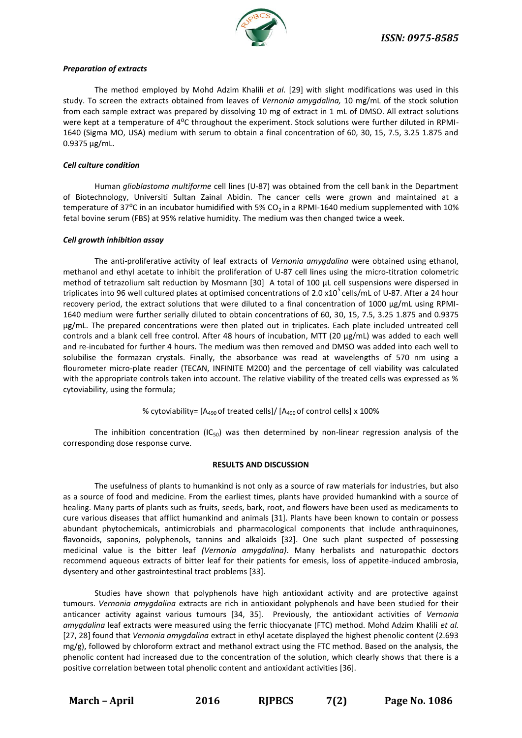

#### *Preparation of extracts*

The method employed by Mohd Adzim Khalili *et al.* [29] with slight modifications was used in this study. To screen the extracts obtained from leaves of *Vernonia amygdalina,* 10 mg/mL of the stock solution from each sample extract was prepared by dissolving 10 mg of extract in 1 mL of DMSO. All extract solutions were kept at a temperature of 4<sup>o</sup>C throughout the experiment. Stock solutions were further diluted in RPMI-1640 (Sigma MO, USA) medium with serum to obtain a final concentration of 60, 30, 15, 7.5, 3.25 1.875 and 0.9375 µg/mL.

#### *Cell culture condition*

Human *glioblastoma multiforme* cell lines (U-87) was obtained from the cell bank in the Department of Biotechnology, Universiti Sultan Zainal Abidin. The cancer cells were grown and maintained at a temperature of 37°C in an incubator humidified with 5% CO<sub>2</sub> in a RPMI-1640 medium supplemented with 10% fetal bovine serum (FBS) at 95% relative humidity. The medium was then changed twice a week.

#### *Cell growth inhibition assay*

The anti-proliferative activity of leaf extracts of *Vernonia amygdalina* were obtained using ethanol, methanol and ethyl acetate to inhibit the proliferation of U-87 cell lines using the micro-titration colometric method of tetrazolium salt reduction by Mosmann [30] A total of 100 µL cell suspensions were dispersed in triplicates into 96 well cultured plates at optimised concentrations of 2.0 x10<sup>5</sup> cells/mL of U-87. After a 24 hour recovery period, the extract solutions that were diluted to a final concentration of 1000 µg/mL using RPMI-1640 medium were further serially diluted to obtain concentrations of 60, 30, 15, 7.5, 3.25 1.875 and 0.9375 µg/mL. The prepared concentrations were then plated out in triplicates. Each plate included untreated cell controls and a blank cell free control. After 48 hours of incubation, MTT (20 µg/mL) was added to each well and re-incubated for further 4 hours. The medium was then removed and DMSO was added into each well to solubilise the formazan crystals. Finally, the absorbance was read at wavelengths of 570 nm using a flourometer micro-plate reader (TECAN, INFINITE M200) and the percentage of cell viability was calculated with the appropriate controls taken into account. The relative viability of the treated cells was expressed as % cytoviability, using the formula;

#### % cytoviability=  $[A_{490}$  of treated cells]/  $[A_{490}$  of control cells] x 100%

The inhibition concentration (IC<sub>50</sub>) was then determined by non-linear regression analysis of the corresponding dose response curve.

#### **RESULTS AND DISCUSSION**

The usefulness of plants to humankind is not only as a source of raw materials for industries, but also as a source of food and medicine. From the earliest times, plants have provided humankind with a source of healing. Many parts of plants such as fruits, seeds, bark, root, and flowers have been used as medicaments to cure various diseases that afflict humankind and animals [31]. Plants have been known to contain or possess abundant phytochemicals, antimicrobials and pharmacological components that include anthraquinones, flavonoids, saponins, polyphenols, tannins and alkaloids [32]. One such plant suspected of possessing medicinal value is the bitter leaf *(Vernonia amygdalina)*. Many herbalists and naturopathic doctors recommend aqueous extracts of bitter leaf for their patients for emesis, loss of appetite-induced ambrosia, dysentery and other gastrointestinal tract problems [33].

Studies have shown that polyphenols have high antioxidant activity and are protective against tumours. *Vernonia amygdalina* extracts are rich in antioxidant polyphenols and have been studied for their anticancer activity against various tumours [34, 35]. Previously, the antioxidant activities of *Vernonia amygdalina* leaf extracts were measured using the ferric thiocyanate (FTC) method. Mohd Adzim Khalili *et al.* [27, 28] found that *Vernonia amygdalina* extract in ethyl acetate displayed the highest phenolic content (2.693 mg/g), followed by chloroform extract and methanol extract using the FTC method. Based on the analysis, the phenolic content had increased due to the concentration of the solution, which clearly shows that there is a positive correlation between total phenolic content and antioxidant activities [36].

**March – April 2016 RJPBCS 7(2) Page No. 1086**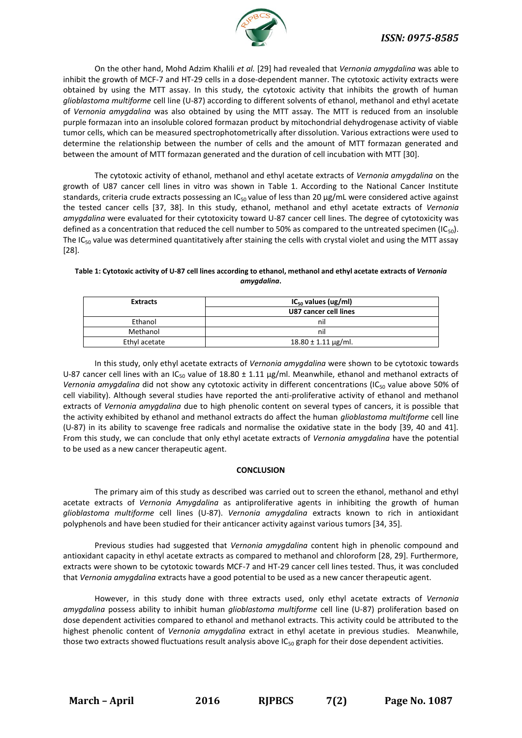

On the other hand, Mohd Adzim Khalili *et al.* [29] had revealed that *Vernonia amygdalina* was able to inhibit the growth of MCF-7 and HT-29 cells in a dose-dependent manner. The cytotoxic activity extracts were obtained by using the MTT assay. In this study, the cytotoxic activity that inhibits the growth of human *glioblastoma multiforme* cell line (U-87) according to different solvents of ethanol, methanol and ethyl acetate of *Vernonia amygdalina* was also obtained by using the MTT assay. The MTT is reduced from an insoluble purple formazan into an insoluble colored formazan product by mitochondrial dehydrogenase activity of viable tumor cells, which can be measured spectrophotometrically after dissolution. Various extractions were used to determine the relationship between the number of cells and the amount of MTT formazan generated and between the amount of MTT formazan generated and the duration of cell incubation with MTT [30].

The cytotoxic activity of ethanol, methanol and ethyl acetate extracts of *Vernonia amygdalina* on the growth of U87 cancer cell lines in vitro was shown in Table 1. According to the National Cancer Institute standards, criteria crude extracts possessing an IC<sub>50</sub> value of less than 20  $\mu$ g/mL were considered active against the tested cancer cells [37, 38]. In this study, ethanol, methanol and ethyl acetate extracts of *Vernonia amygdalina* were evaluated for their cytotoxicity toward U-87 cancer cell lines. The degree of cytotoxicity was defined as a concentration that reduced the cell number to 50% as compared to the untreated specimen (IC<sub>50</sub>). The  $IC_{50}$  value was determined quantitatively after staining the cells with crystal violet and using the MTT assay [28].

#### **Table 1: Cytotoxic activity of U-87 cell lines according to ethanol, methanol and ethyl acetate extracts of** *Vernonia amygdalina***.**

| <b>Extracts</b> | $IC_{50}$ values (ug/ml)     |
|-----------------|------------------------------|
|                 | U87 cancer cell lines        |
| Ethanol         | nil                          |
| Methanol        | nil                          |
| Ethyl acetate   | $18.80 \pm 1.11 \,\mu g/ml.$ |

In this study, only ethyl acetate extracts of *Vernonia amygdalina* were shown to be cytotoxic towards U-87 cancer cell lines with an IC<sub>50</sub> value of 18.80  $\pm$  1.11 µg/ml. Meanwhile, ethanol and methanol extracts of Vernonia amygdalina did not show any cytotoxic activity in different concentrations (IC<sub>50</sub> value above 50% of cell viability). Although several studies have reported the anti-proliferative activity of ethanol and methanol extracts of *Vernonia amygdalina* due to high phenolic content on several types of cancers, it is possible that the activity exhibited by ethanol and methanol extracts do affect the human *glioblastoma multiforme* cell line (U-87) in its ability to scavenge free radicals and normalise the oxidative state in the body [39, 40 and 41]. From this study, we can conclude that only ethyl acetate extracts of *Vernonia amygdalina* have the potential to be used as a new cancer therapeutic agent.

#### **CONCLUSION**

The primary aim of this study as described was carried out to screen the ethanol, methanol and ethyl acetate extracts of *Vernonia Amygdalina* as antiproliferative agents in inhibiting the growth of human *glioblastoma multiforme* cell lines (U-87). *Vernonia amygdalina* extracts known to rich in antioxidant polyphenols and have been studied for their anticancer activity against various tumors [34, 35].

Previous studies had suggested that *Vernonia amygdalina* content high in phenolic compound and antioxidant capacity in ethyl acetate extracts as compared to methanol and chloroform [28, 29]. Furthermore, extracts were shown to be cytotoxic towards MCF-7 and HT-29 cancer cell lines tested. Thus, it was concluded that *Vernonia amygdalina* extracts have a good potential to be used as a new cancer therapeutic agent.

However, in this study done with three extracts used, only ethyl acetate extracts of *Vernonia amygdalina* possess ability to inhibit human *glioblastoma multiforme* cell line (U-87) proliferation based on dose dependent activities compared to ethanol and methanol extracts. This activity could be attributed to the highest phenolic content of *Vernonia amygdalina* extract in ethyl acetate in previous studies. Meanwhile, those two extracts showed fluctuations result analysis above  $IC_{50}$  graph for their dose dependent activities.

**March – April 2016 RJPBCS 7(2) Page No. 1087**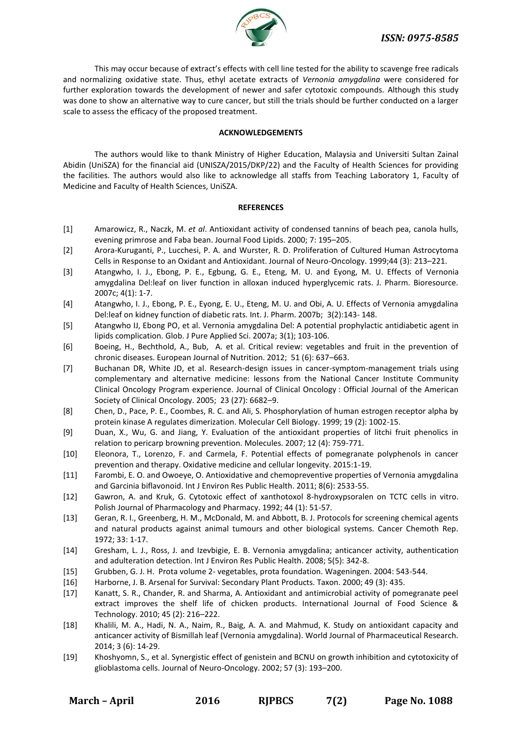

This may occur because of extract's effects with cell line tested for the ability to scavenge free radicals and normalizing oxidative state. Thus, ethyl acetate extracts of *Vernonia amygdalina* were considered for further exploration towards the development of newer and safer cytotoxic compounds. Although this study was done to show an alternative way to cure cancer, but still the trials should be further conducted on a larger scale to assess the efficacy of the proposed treatment.

#### **ACKNOWLEDGEMENTS**

The authors would like to thank Ministry of Higher Education, Malaysia and Universiti Sultan Zainal Abidin (UniSZA) for the financial aid (UNISZA/2015/DKP/22) and the Faculty of Health Sciences for providing the facilities. The authors would also like to acknowledge all staffs from Teaching Laboratory 1, Faculty of Medicine and Faculty of Health Sciences, UniSZA.

#### **REFERENCES**

- [1] Amarowicz, R., Naczk, M. *et al*. Antioxidant activity of condensed tannins of beach pea, canola hulls, evening primrose and Faba bean. Journal Food Lipids. 2000; 7: 195–205.
- [2] Arora-Kuruganti, P., Lucchesi, P. A. and Wurster, R. D. Proliferation of Cultured Human Astrocytoma Cells in Response to an Oxidant and Antioxidant. Journal of Neuro-Oncology. 1999;44 (3): 213–221.
- [3] Atangwho, I. J., Ebong, P. E., Egbung, G. E., Eteng, M. U. and Eyong, M. U. Effects of Vernonia amygdalina Del:leaf on liver function in alloxan induced hyperglycemic rats. J. Pharm. Bioresource. 2007c; 4(1): 1-7.
- [4] Atangwho, I. J., Ebong, P. E., Eyong, E. U., Eteng, M. U. and Obi, A. U. Effects of Vernonia amygdalina Del:leaf on kidney function of diabetic rats. Int. J. Pharm. 2007b; 3(2):143- 148.
- [5] Atangwho IJ, Ebong PO, et al. Vernonia amygdalina Del: A potential prophylactic antidiabetic agent in lipids complication. Glob. J Pure Applied Sci. 2007a; 3(1); 103-106.
- [6] Boeing, H., Bechthold, A., Bub, A. et al. Critical review: vegetables and fruit in the prevention of chronic diseases. European Journal of Nutrition. 2012; 51 (6): 637–663.
- [7] Buchanan DR, White JD, et al. Research-design issues in cancer-symptom-management trials using complementary and alternative medicine: lessons from the National Cancer Institute Community Clinical Oncology Program experience. Journal of Clinical Oncology : Official Journal of the American Society of Clinical Oncology. 2005; 23 (27): 6682–9.
- [8] Chen, D., Pace, P. E., Coombes, R. C. and Ali, S. Phosphorylation of human estrogen receptor alpha by protein kinase A regulates dimerization. Molecular Cell Biology. 1999; 19 (2): 1002-15.
- [9] Duan, X., Wu, G. and Jiang, Y. Evaluation of the antioxidant properties of litchi fruit phenolics in relation to pericarp browning prevention. Molecules. 2007; 12 (4): 759-771.
- [10] Eleonora, T., Lorenzo, F. and Carmela, F. Potential effects of pomegranate polyphenols in cancer prevention and therapy. Oxidative medicine and cellular longevity. 2015:1-19.
- [11] Farombi, E. O. and Owoeye, O. Antioxidative and chemopreventive properties of Vernonia amygdalina and Garcinia biflavonoid. Int J Environ Res Public Health. 2011; 8(6): 2533-55.
- [12] Gawron, A. and Kruk, G. Cytotoxic effect of xanthotoxol 8-hydroxypsoralen on TCTC cells in vitro. Polish Journal of Pharmacology and Pharmacy. 1992; 44 (1): 51-57.
- [13] Geran, R. I., Greenberg, H. M., McDonald, M. and Abbott, B. J. Protocols for screening chemical agents and natural products against animal tumours and other biological systems. Cancer Chemoth Rep. 1972; 33: 1-17.
- [14] Gresham, L. J., Ross, J. and Izevbigie, E. B. Vernonia amygdalina; anticancer activity, authentication and adulteration detection. Int J Environ Res Public Health. 2008; 5(5): 342-8.
- [15] Grubben, G. J. H. Prota volume 2- vegetables, prota foundation. Wageningen. 2004: 543-544.
- [16] Harborne, J. B. Arsenal for Survival: Secondary Plant Products. Taxon. 2000; 49 (3): 435.
- [17] Kanatt, S. R., Chander, R. and Sharma, A. Antioxidant and antimicrobial activity of pomegranate peel extract improves the shelf life of chicken products. International Journal of Food Science & Technology. 2010; 45 (2): 216–222.
- [18] Khalili, M. A., Hadi, N. A., Naim, R., Baig, A. A. and Mahmud, K. Study on antioxidant capacity and anticancer activity of Bismillah leaf (Vernonia amygdalina). World Journal of Pharmaceutical Research. 2014; 3 (6): 14-29.
- [19] Khoshyomn, S., et al. Synergistic effect of genistein and BCNU on growth inhibition and cytotoxicity of glioblastoma cells. Journal of Neuro-Oncology. 2002; 57 (3): 193–200.